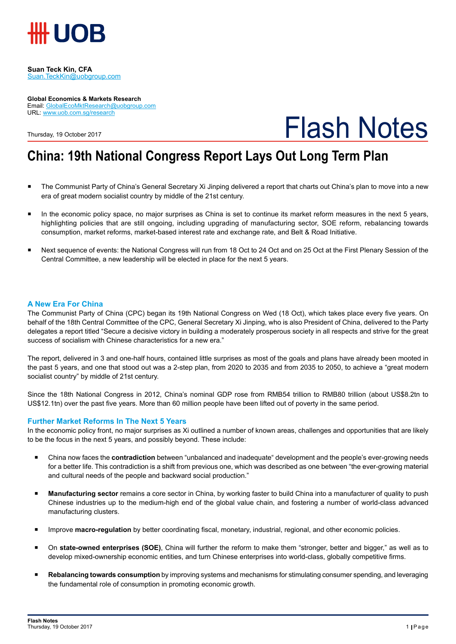

**Suan Teck Kin, CFA** Suan.TeckKin@uobgroup.com

#### **Global Economics & Markets Research** Email: GlobalEcoMktResearch@uobgroup.com URL: www.uob.com.sg/research

Thursday, 19 October 2017



## **China: 19th National Congress Report Lays Out Long Term Plan**

- The Communist Party of China's General Secretary Xi Jinping delivered a report that charts out China's plan to move into a new era of great modern socialist country by middle of the 21st century.
- In the economic policy space, no major surprises as China is set to continue its market reform measures in the next 5 years, highlighting policies that are still ongoing, including upgrading of manufacturing sector, SOE reform, rebalancing towards consumption, market reforms, market-based interest rate and exchange rate, and Belt & Road Initiative.
- Next sequence of events: the National Congress will run from 18 Oct to 24 Oct and on 25 Oct at the First Plenary Session of the Central Committee, a new leadership will be elected in place for the next 5 years.

### **A New Era For China**

The Communist Party of China (CPC) began its 19th National Congress on Wed (18 Oct), which takes place every five years. On behalf of the 18th Central Committee of the CPC, General Secretary Xi Jinping, who is also President of China, delivered to the Party delegates a report titled "Secure a decisive victory in building a moderately prosperous society in all respects and strive for the great success of socialism with Chinese characteristics for a new era."

The report, delivered in 3 and one-half hours, contained little surprises as most of the goals and plans have already been mooted in the past 5 years, and one that stood out was a 2-step plan, from 2020 to 2035 and from 2035 to 2050, to achieve a "great modern socialist country" by middle of 21st century.

Since the 18th National Congress in 2012, China's nominal GDP rose from RMB54 trillion to RMB80 trillion (about US\$8.2tn to US\$12.1tn) over the past five years. More than 60 million people have been lifted out of poverty in the same period.

### **Further Market Reforms In The Next 5 Years**

In the economic policy front, no major surprises as Xi outlined a number of known areas, challenges and opportunities that are likely to be the focus in the next 5 years, and possibly beyond. These include:

- China now faces the **contradiction** between "unbalanced and inadequate" development and the people's ever-growing needs for a better life. This contradiction is a shift from previous one, which was described as one between "the ever-growing material and cultural needs of the people and backward social production."
- **Manufacturing sector** remains a core sector in China, by working faster to build China into a manufacturer of quality to push Chinese industries up to the medium-high end of the global value chain, and fostering a number of world-class advanced manufacturing clusters.
- **Improve macro-regulation** by better coordinating fiscal, monetary, industrial, regional, and other economic policies.
- On **state-owned enterprises (SOE)**, China will further the reform to make them "stronger, better and bigger," as well as to develop mixed-ownership economic entities, and turn Chinese enterprises into world-class, globally competitive firms.
- **Rebalancing towards consumption** by improving systems and mechanisms for stimulating consumer spending, and leveraging the fundamental role of consumption in promoting economic growth.